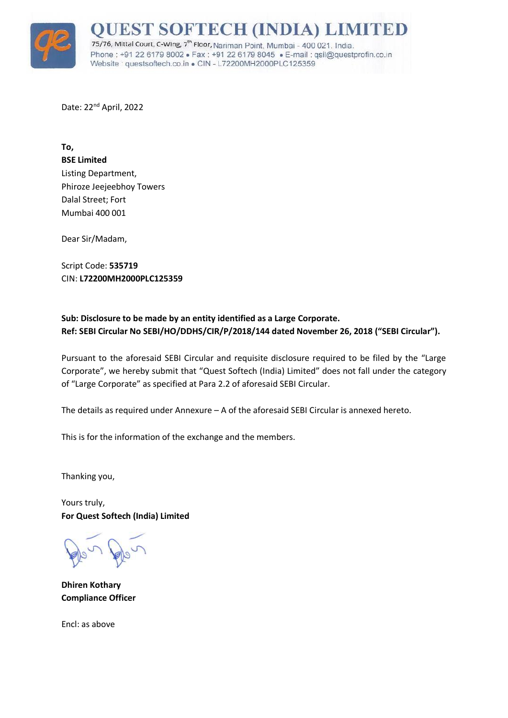

## **JEST SOFTECH (INDIA) LIMIT**

75/76, Mittal Court, C-Wing, 7<sup>th</sup> Floor, Nariman Point, Mumbai - 400 021. India. Phone: +91 22 6179 8002 · Fax: +91 22 6179 8045 · E-mail: gsil@guestprofin.co.in Website guestsoftech.co.in . CIN - L72200MH2000PLC125359

Date: 22<sup>nd</sup> April, 2022

**To, BSE Limited** Listing Department, Phiroze Jeejeebhoy Towers Dalal Street; Fort Mumbai 400 001

Dear Sir/Madam,

Script Code: **535719** CIN: **L72200MH2000PLC125359**

## **Sub: Disclosure to be made by an entity identified as a Large Corporate. Ref: SEBI Circular No SEBI/HO/DDHS/CIR/P/2018/144 dated November 26, 2018 ("SEBI Circular").**

Pursuant to the aforesaid SEBI Circular and requisite disclosure required to be filed by the "Large Corporate", we hereby submit that "Quest Softech (India) Limited" does not fall under the category of "Large Corporate" as specified at Para 2.2 of aforesaid SEBI Circular.

The details as required under Annexure – A of the aforesaid SEBI Circular is annexed hereto.

This is for the information of the exchange and the members.

Thanking you,

Yours truly, **For Quest Softech (India) Limited**

**Dhiren Kothary Compliance Officer**

Encl: as above